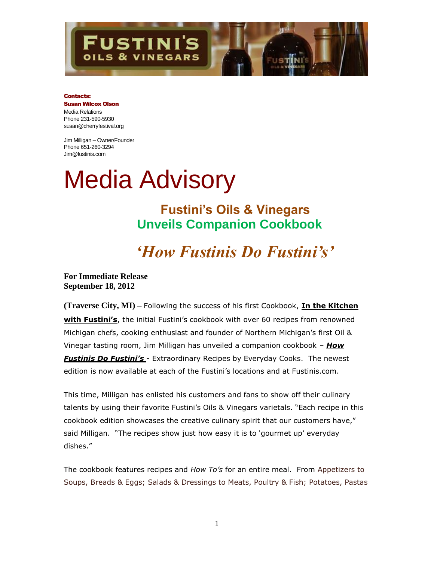

### Contacts:

#### Susan Wilcox Olson Media Relations Phone 231-590-5930 susan@cherryfestival.org

Jim Milligan – Owner/Founder Phone 651-260-3294 Jim@fustinis.com

# Media Advisory

**Fustini's Oils & Vinegars Unveils Companion Cookbook**

# *'How Fustinis Do Fustini's'*

**For Immediate Release September 18, 2012**

**(Traverse City, MI) –** Following the success of his first Cookbook, **In the Kitchen with Fustini's**, the initial Fustini's cookbook with over 60 recipes from renowned Michigan chefs, cooking enthusiast and founder of Northern Michigan's first Oil & Vinegar tasting room, Jim Milligan has unveiled a companion cookbook – *How Fustinis Do Fustini's* - Extraordinary Recipes by Everyday Cooks. The newest edition is now available at each of the Fustini's locations and at Fustinis.com.

This time, Milligan has enlisted his customers and fans to show off their culinary talents by using their favorite Fustini's Oils & Vinegars varietals. "Each recipe in this cookbook edition showcases the creative culinary spirit that our customers have," said Milligan. "The recipes show just how easy it is to 'gourmet up' everyday dishes."

The cookbook features recipes and *How To's* for an entire meal. From Appetizers to Soups, Breads & Eggs; Salads & Dressings to Meats, Poultry & Fish; Potatoes, Pastas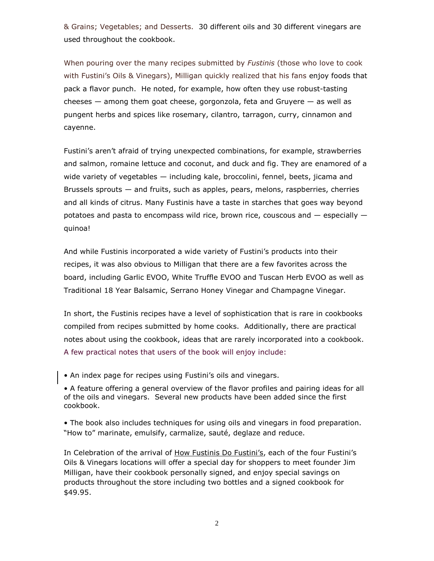& Grains; Vegetables; and Desserts. 30 different oils and 30 different vinegars are used throughout the cookbook.

When pouring over the many recipes submitted by *Fustinis* (those who love to cook with Fustini's Oils & Vinegars), Milligan quickly realized that his fans enjoy foods that pack a flavor punch. He noted, for example, how often they use robust-tasting cheeses  $-$  among them goat cheese, gorgonzola, feta and Gruyere  $-$  as well as pungent herbs and spices like rosemary, cilantro, tarragon, curry, cinnamon and cayenne.

Fustini's aren't afraid of trying unexpected combinations, for example, strawberries and salmon, romaine lettuce and coconut, and duck and fig. They are enamored of a wide variety of vegetables — including kale, broccolini, fennel, beets, jicama and Brussels sprouts — and fruits, such as apples, pears, melons, raspberries, cherries and all kinds of citrus. Many Fustinis have a taste in starches that goes way beyond potatoes and pasta to encompass wild rice, brown rice, couscous and  $-$  especially  $$ quinoa!

And while Fustinis incorporated a wide variety of Fustini's products into their recipes, it was also obvious to Milligan that there are a few favorites across the board, including Garlic EVOO, White Truffle EVOO and Tuscan Herb EVOO as well as Traditional 18 Year Balsamic, Serrano Honey Vinegar and Champagne Vinegar.

In short, the Fustinis recipes have a level of sophistication that is rare in cookbooks compiled from recipes submitted by home cooks. Additionally, there are practical notes about using the cookbook, ideas that are rarely incorporated into a cookbook. A few practical notes that users of the book will enjoy include:

• An index page for recipes using Fustini's oils and vinegars.

• A feature offering a general overview of the flavor profiles and pairing ideas for all of the oils and vinegars. Several new products have been added since the first cookbook.

• The book also includes techniques for using oils and vinegars in food preparation. "How to" marinate, emulsify, carmalize, sauté, deglaze and reduce.

In Celebration of the arrival of How Fustinis Do Fustini's, each of the four Fustini's Oils & Vinegars locations will offer a special day for shoppers to meet founder Jim Milligan, have their cookbook personally signed, and enjoy special savings on products throughout the store including two bottles and a signed cookbook for \$49.95.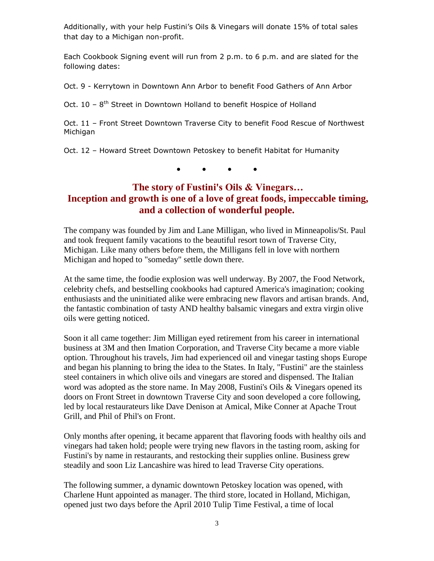Additionally, with your help Fustini's Oils & Vinegars will donate 15% of total sales that day to a Michigan non-profit.

Each Cookbook Signing event will run from 2 p.m. to 6 p.m. and are slated for the following dates:

Oct. 9 - Kerrytown in Downtown Ann Arbor to benefit Food Gathers of Ann Arbor

Oct. 10 - 8<sup>th</sup> Street in Downtown Holland to benefit Hospice of Holland

Oct. 11 – Front Street Downtown Traverse City to benefit Food Rescue of Northwest Michigan

Oct. 12 – Howard Street Downtown Petoskey to benefit Habitat for Humanity

**● ● ● ●**

# **The story of Fustini's Oils & Vinegars… Inception and growth is one of a love of great foods, impeccable timing, and a collection of wonderful people.**

The company was founded by Jim and Lane Milligan, who lived in Minneapolis/St. Paul and took frequent family vacations to the beautiful resort town of Traverse City, Michigan. Like many others before them, the Milligans fell in love with northern Michigan and hoped to "someday" settle down there.

At the same time, the foodie explosion was well underway. By 2007, the Food Network, celebrity chefs, and bestselling cookbooks had captured America's imagination; cooking enthusiasts and the uninitiated alike were embracing new flavors and artisan brands. And, the fantastic combination of tasty AND healthy balsamic vinegars and extra virgin olive oils were getting noticed.

Soon it all came together: Jim Milligan eyed retirement from his career in international business at 3M and then Imation Corporation, and Traverse City became a more viable option. Throughout his travels, Jim had experienced oil and vinegar tasting shops Europe and began his planning to bring the idea to the States. In Italy, "Fustini" are the stainless steel containers in which olive oils and vinegars are stored and dispensed. The Italian word was adopted as the store name. In May 2008, Fustini's Oils & Vinegars opened its doors on Front Street in downtown Traverse City and soon developed a core following, led by local restaurateurs like Dave Denison at Amical, Mike Conner at Apache Trout Grill, and Phil of Phil's on Front.

Only months after opening, it became apparent that flavoring foods with healthy oils and vinegars had taken hold; people were trying new flavors in the tasting room, asking for Fustini's by name in restaurants, and restocking their supplies online. Business grew steadily and soon Liz Lancashire was hired to lead Traverse City operations.

The following summer, a dynamic downtown Petoskey location was opened, with Charlene Hunt appointed as manager. The third store, located in Holland, Michigan, opened just two days before the April 2010 Tulip Time Festival, a time of local